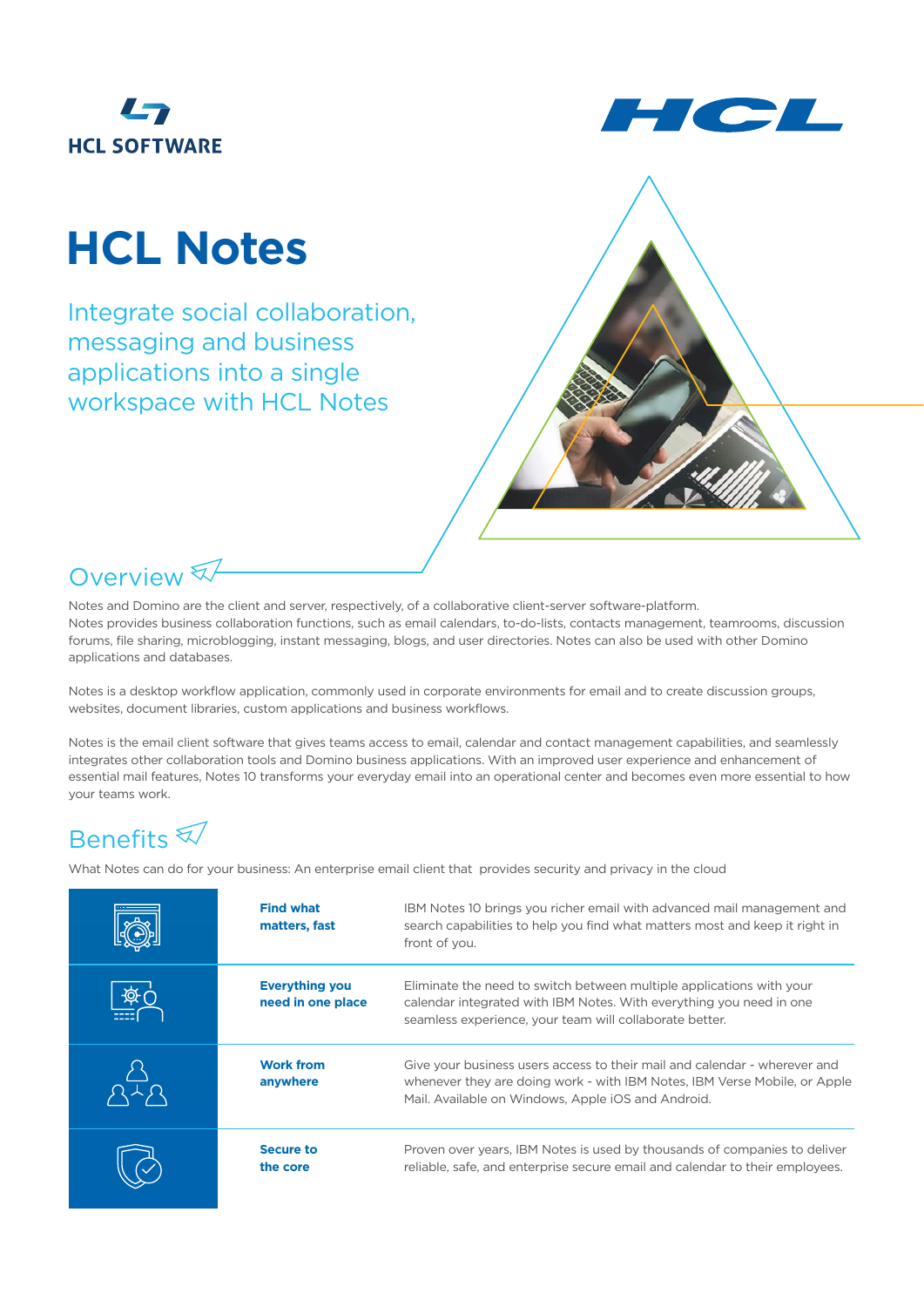



# **HCL Notes**

Integrate social collaboration, messaging and business applications into a single workspace with HCL Notes





Notes and Domino are the client and server, respectively, of a collaborative client-server software-platform. Notes provides business collaboration functions, such as email calendars, to-do-lists, contacts management, teamrooms, discussion forums, file sharing, microblogging, instant messaging, blogs, and user directories. Notes can also be used with other Domino applications and databases.

Notes is a desktop workflow application, commonly used in corporate environments for email and to create discussion groups, websites, document libraries, custom applications and business workflows.

Notes is the email client software that gives teams access to email, calendar and contact management capabilities, and seamlessly integrates other collaboration tools and Domino business applications. With an improved user experience and enhancement of essential mail features, Notes 10 transforms your everyday email into an operational center and becomes even more essential to how your teams work.

### Benefits

What Notes can do for your business: An enterprise email client that provides security and privacy in the cloud

| <b>Find what</b><br>matters, fast          | IBM Notes 10 brings you richer email with advanced mail management and<br>search capabilities to help you find what matters most and keep it right in<br>front of you.                                       |
|--------------------------------------------|--------------------------------------------------------------------------------------------------------------------------------------------------------------------------------------------------------------|
| <b>Everything you</b><br>need in one place | Eliminate the need to switch between multiple applications with your<br>calendar integrated with IBM Notes. With everything you need in one<br>seamless experience, your team will collaborate better.       |
| <b>Work from</b><br>anywhere               | Give your business users access to their mail and calendar - wherever and<br>whenever they are doing work - with IBM Notes, IBM Verse Mobile, or Apple<br>Mail. Available on Windows, Apple iOS and Android. |
| Secure to<br>the core                      | Proven over years, IBM Notes is used by thousands of companies to deliver<br>reliable, safe, and enterprise secure email and calendar to their employees.                                                    |